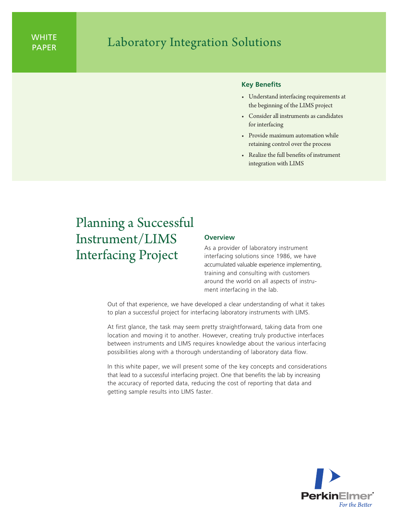## WHILE **Replace Laboratory Integration Solutions**

## **Key Benefits**

- • Understand interfacing requirements at the beginning of the LIMS project
- • Consider all instruments as candidates for interfacing
- • Provide maximum automation while retaining control over the process
- • Realize the full benefits of instrument integration with LIMS

# Planning a Successful Instrument/LIMS Interfacing Project

## **Overview**

As a provider of laboratory instrument interfacing solutions since 1986, we have accumulated valuable experience implementing, training and consulting with customers around the world on all aspects of instrument interfacing in the lab.

Out of that experience, we have developed a clear understanding of what it takes to plan a successful project for interfacing laboratory instruments with LIMS.

At first glance, the task may seem pretty straightforward, taking data from one location and moving it to another. However, creating truly productive interfaces between instruments and LIMS requires knowledge about the various interfacing possibilities along with a thorough understanding of laboratory data flow.

In this white paper, we will present some of the key concepts and considerations that lead to a successful interfacing project. One that benefits the lab by increasing the accuracy of reported data, reducing the cost of reporting that data and getting sample results into LIMS faster.

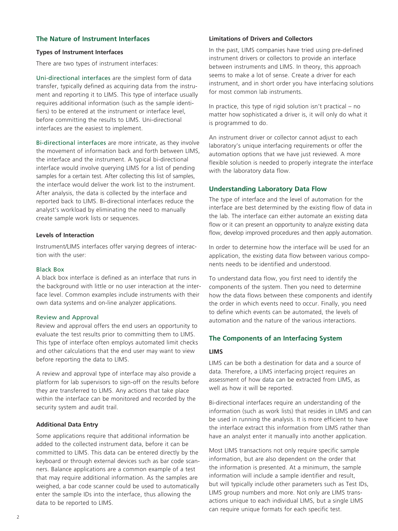## **The Nature of Instrument Interfaces**

## **Types of Instrument Interfaces**

There are two types of instrument interfaces:

Uni-directional interfaces are the simplest form of data transfer, typically defined as acquiring data from the instrument and reporting it to LIMS. This type of interface usually requires additional information (such as the sample identifiers) to be entered at the instrument or interface level, before committing the results to LIMS. Uni-directional interfaces are the easiest to implement.

Bi-directional interfaces are more intricate, as they involve the movement of information back and forth between LIMS, the interface and the instrument. A typical bi-directional interface would involve querying LIMS for a list of pending samples for a certain test. After collecting this list of samples, the interface would deliver the work list to the instrument. After analysis, the data is collected by the interface and reported back to LIMS. Bi-directional interfaces reduce the analyst's workload by eliminating the need to manually create sample work lists or sequences.

#### **Levels of Interaction**

Instrument/LIMS interfaces offer varying degrees of interaction with the user:

## Black Box

A black box interface is defined as an interface that runs in the background with little or no user interaction at the interface level. Common examples include instruments with their own data systems and on-line analyzer applications.

#### Review and Approval

Review and approval offers the end users an opportunity to evaluate the test results prior to committing them to LIMS. This type of interface often employs automated limit checks and other calculations that the end user may want to view before reporting the data to LIMS.

A review and approval type of interface may also provide a platform for lab supervisors to sign-off on the results before they are transferred to LIMS. Any actions that take place within the interface can be monitored and recorded by the security system and audit trail.

#### **Additional Data Entry**

Some applications require that additional information be added to the collected instrument data, before it can be committed to LIMS. This data can be entered directly by the keyboard or through external devices such as bar code scanners. Balance applications are a common example of a test that may require additional information. As the samples are weighed, a bar code scanner could be used to automatically enter the sample IDs into the interface, thus allowing the data to be reported to LIMS.

#### **Limitations of Drivers and Collectors**

In the past, LIMS companies have tried using pre-defined instrument drivers or collectors to provide an interface between instruments and LIMS. In theory, this approach seems to make a lot of sense. Create a driver for each instrument, and in short order you have interfacing solutions for most common lab instruments.

In practice, this type of rigid solution isn't practical – no matter how sophisticated a driver is, it will only do what it is programmed to do.

An instrument driver or collector cannot adjust to each laboratory's unique interfacing requirements or offer the automation options that we have just reviewed. A more flexible solution is needed to properly integrate the interface with the laboratory data flow.

## **Understanding Laboratory Data Flow**

The type of interface and the level of automation for the interface are best determined by the existing flow of data in the lab. The interface can either automate an existing data flow or it can present an opportunity to analyze existing data flow, develop improved procedures and then apply automation.

In order to determine how the interface will be used for an application, the existing data flow between various components needs to be identified and understood.

To understand data flow, you first need to identify the components of the system. Then you need to determine how the data flows between these components and identify the order in which events need to occur. Finally, you need to define which events can be automated, the levels of automation and the nature of the various interactions.

## **The Components of an Interfacing System**

#### **LIMS**

LIMS can be both a destination for data and a source of data. Therefore, a LIMS interfacing project requires an assessment of how data can be extracted from LIMS, as well as how it will be reported.

Bi-directional interfaces require an understanding of the information (such as work lists) that resides in LIMS and can be used in running the analysis. It is more efficient to have the interface extract this information from LIMS rather than have an analyst enter it manually into another application.

Most LIMS transactions not only require specific sample information, but are also dependent on the order that the information is presented. At a minimum, the sample information will include a sample identifier and result, but will typically include other parameters such as Test IDs, LIMS group numbers and more. Not only are LIMS transactions unique to each individual LIMS, but a single LIMS can require unique formats for each specific test.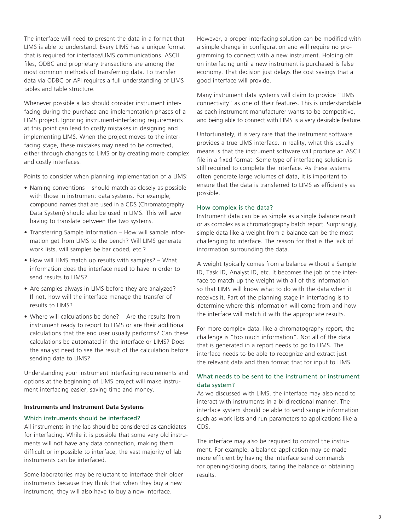The interface will need to present the data in a format that LIMS is able to understand. Every LIMS has a unique format that is required for interface/LIMS communications. ASCII files, ODBC and proprietary transactions are among the most common methods of transferring data. To transfer data via ODBC or API requires a full understanding of LIMS tables and table structure.

Whenever possible a lab should consider instrument interfacing during the purchase and implementation phases of a LIMS project. Ignoring instrument-interfacing requirements at this point can lead to costly mistakes in designing and implementing LIMS. When the project moves to the interfacing stage, these mistakes may need to be corrected, either through changes to LIMS or by creating more complex and costly interfaces.

Points to consider when planning implementation of a LIMS:

- Naming conventions should match as closely as possible with those in instrument data systems. For example, compound names that are used in a CDS (Chromatography Data System) should also be used in LIMS. This will save having to translate between the two systems.
- Transferring Sample Information How will sample information get from LIMS to the bench? Will LIMS generate work lists, will samples be bar coded, etc.?
- $\bullet$  How will LIMS match up results with samples?  $-$  What information does the interface need to have in order to send results to LIMS?
- Are samples always in LIMS before they are analyzed?  $-$ If not, how will the interface manage the transfer of results to LIMS?
- Where will calculations be done? Are the results from instrument ready to report to LIMS or are their additional calculations that the end user usually performs? Can these calculations be automated in the interface or LIMS? Does the analyst need to see the result of the calculation before sending data to LIMS?

Understanding your instrument interfacing requirements and options at the beginning of LIMS project will make instrument interfacing easier, saving time and money.

#### **Instruments and Instrument Data Systems**

## Which instruments should be interfaced?

All instruments in the lab should be considered as candidates for interfacing. While it is possible that some very old instruments will not have any data connection, making them difficult or impossible to interface, the vast majority of lab instruments can be interfaced.

Some laboratories may be reluctant to interface their older instruments because they think that when they buy a new instrument, they will also have to buy a new interface.

However, a proper interfacing solution can be modified with a simple change in configuration and will require no programming to connect with a new instrument. Holding off on interfacing until a new instrument is purchased is false economy. That decision just delays the cost savings that a good interface will provide.

Many instrument data systems will claim to provide "LIMS connectivity" as one of their features. This is understandable as each instrument manufacturer wants to be competitive, and being able to connect with LIMS is a very desirable feature.

Unfortunately, it is very rare that the instrument software provides a true LIMS interface. In reality, what this usually means is that the instrument software will produce an ASCII file in a fixed format. Some type of interfacing solution is still required to complete the interface. As these systems often generate large volumes of data, it is important to ensure that the data is transferred to LIMS as efficiently as possible.

#### How complex is the data?

Instrument data can be as simple as a single balance result or as complex as a chromatography batch report. Surprisingly, simple data like a weight from a balance can be the most challenging to interface. The reason for that is the lack of information surrounding the data.

A weight typically comes from a balance without a Sample ID, Task ID, Analyst ID, etc. It becomes the job of the interface to match up the weight with all of this information so that LIMS will know what to do with the data when it receives it. Part of the planning stage in interfacing is to determine where this information will come from and how the interface will match it with the appropriate results.

For more complex data, like a chromatography report, the challenge is "too much information". Not all of the data that is generated in a report needs to go to LIMS. The interface needs to be able to recognize and extract just the relevant data and then format that for input to LIMS.

## What needs to be sent to the instrument or instrument data system?

As we discussed with LIMS, the interface may also need to interact with instruments in a bi-directional manner. The interface system should be able to send sample information such as work lists and run parameters to applications like a CDS.

The interface may also be required to control the instrument. For example, a balance application may be made more efficient by having the interface send commands for opening/closing doors, taring the balance or obtaining results.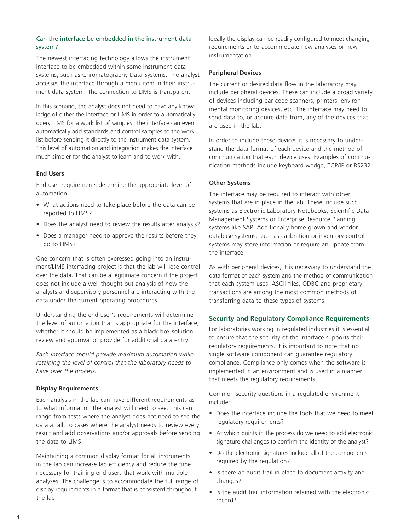## Can the interface be embedded in the instrument data system?

The newest interfacing technology allows the instrument interface to be embedded within some instrument data systems, such as Chromatography Data Systems. The analyst accesses the interface through a menu item in their instrument data system. The connection to LIMS is transparent.

In this scenario, the analyst does not need to have any knowledge of either the interface or LIMS in order to automatically query LIMS for a work list of samples. The interface can even automatically add standards and control samples to the work list before sending it directly to the instrument data system. This level of automation and integration makes the interface much simpler for the analyst to learn and to work with.

## **End Users**

End user requirements determine the appropriate level of automation.

- What actions need to take place before the data can be reported to LIMS?
- Does the analyst need to review the results after analysis?
- Does a manager need to approve the results before they go to LIMS?

One concern that is often expressed going into an instrument/LIMS interfacing project is that the lab will lose control over the data. That can be a legitimate concern if the project does not include a well thought out analysis of how the analysts and supervisory personnel are interacting with the data under the current operating procedures.

Understanding the end user's requirements will determine the level of automation that is appropriate for the interface, whether it should be implemented as a black box solution, review and approval or provide for additional data entry.

*Each interface should provide maximum automation while retaining the level of control that the laboratory needs to have over the process.* 

## **Display Requirements**

Each analysis in the lab can have different requirements as to what information the analyst will need to see. This can range from tests where the analyst does not need to see the data at all, to cases where the analyst needs to review every result and add observations and/or approvals before sending the data to LIMS.

Maintaining a common display format for all instruments in the lab can increase lab efficiency and reduce the time necessary for training end users that work with multiple analyses. The challenge is to accommodate the full range of display requirements in a format that is consistent throughout the lab.

Ideally the display can be readily configured to meet changing requirements or to accommodate new analyses or new instrumentation.

## **Peripheral Devices**

The current or desired data flow in the laboratory may include peripheral devices. These can include a broad variety of devices including bar code scanners, printers, environmental monitoring devices, etc. The interface may need to send data to, or acquire data from, any of the devices that are used in the lab.

In order to include these devices it is necessary to understand the data format of each device and the method of communication that each device uses. Examples of communication methods include keyboard wedge, TCP/IP or RS232.

#### **Other Systems**

The interface may be required to interact with other systems that are in place in the lab. These include such systems as Electronic Laboratory Notebooks, Scientific Data Management Systems or Enterprise Resource Planning systems like SAP. Additionally home grown and vendor database systems, such as calibration or inventory control systems may store information or require an update from the interface.

As with peripheral devices, it is necessary to understand the data format of each system and the method of communication that each system uses. ASCII files, ODBC and proprietary transactions are among the most common methods of transferring data to these types of systems.

## **Security and Regulatory Compliance Requirements**

For laboratories working in regulated industries it is essential to ensure that the security of the interface supports their regulatory requirements. It is important to note that no single software component can guarantee regulatory compliance. Compliance only comes when the software is implemented in an environment and is used in a manner that meets the regulatory requirements.

Common security questions in a regulated environment include:

- Does the interface include the tools that we need to meet regulatory requirements?
- At which points in the process do we need to add electronic signature challenges to confirm the identity of the analyst?
- Do the electronic signatures include all of the components required by the regulation?
- Is there an audit trail in place to document activity and changes?
- Is the audit trail information retained with the electronic record?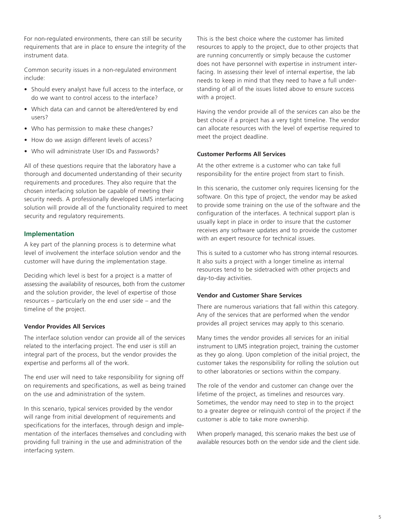For non-regulated environments, there can still be security requirements that are in place to ensure the integrity of the instrument data.

Common security issues in a non-regulated environment include:

- Should every analyst have full access to the interface, or do we want to control access to the interface?
- Which data can and cannot be altered/entered by end users?
- Who has permission to make these changes?
- How do we assign different levels of access?
- Who will administrate User IDs and Passwords?

All of these questions require that the laboratory have a thorough and documented understanding of their security requirements and procedures. They also require that the chosen interfacing solution be capable of meeting their security needs. A professionally developed LIMS interfacing solution will provide all of the functionality required to meet security and regulatory requirements.

## **Implementation**

A key part of the planning process is to determine what level of involvement the interface solution vendor and the customer will have during the implementation stage.

Deciding which level is best for a project is a matter of assessing the availability of resources, both from the customer and the solution provider, the level of expertise of those resources – particularly on the end user side – and the timeline of the project.

## **Vendor Provides All Services**

The interface solution vendor can provide all of the services related to the interfacing project. The end user is still an integral part of the process, but the vendor provides the expertise and performs all of the work.

The end user will need to take responsibility for signing off on requirements and specifications, as well as being trained on the use and administration of the system.

In this scenario, typical services provided by the vendor will range from initial development of requirements and specifications for the interfaces, through design and implementation of the interfaces themselves and concluding with providing full training in the use and administration of the interfacing system.

This is the best choice where the customer has limited resources to apply to the project, due to other projects that are running concurrently or simply because the customer does not have personnel with expertise in instrument interfacing. In assessing their level of internal expertise, the lab needs to keep in mind that they need to have a full understanding of all of the issues listed above to ensure success with a project.

Having the vendor provide all of the services can also be the best choice if a project has a very tight timeline. The vendor can allocate resources with the level of expertise required to meet the project deadline.

## **Customer Performs All Services**

At the other extreme is a customer who can take full responsibility for the entire project from start to finish.

In this scenario, the customer only requires licensing for the software. On this type of project, the vendor may be asked to provide some training on the use of the software and the configuration of the interfaces. A technical support plan is usually kept in place in order to insure that the customer receives any software updates and to provide the customer with an expert resource for technical issues.

This is suited to a customer who has strong internal resources. It also suits a project with a longer timeline as internal resources tend to be sidetracked with other projects and day-to-day activities.

#### **Vendor and Customer Share Services**

There are numerous variations that fall within this category. Any of the services that are performed when the vendor provides all project services may apply to this scenario.

Many times the vendor provides all services for an initial instrument to LIMS integration project, training the customer as they go along. Upon completion of the initial project, the customer takes the responsibility for rolling the solution out to other laboratories or sections within the company.

The role of the vendor and customer can change over the lifetime of the project, as timelines and resources vary. Sometimes, the vendor may need to step in to the project to a greater degree or relinquish control of the project if the customer is able to take more ownership.

When properly managed, this scenario makes the best use of available resources both on the vendor side and the client side.